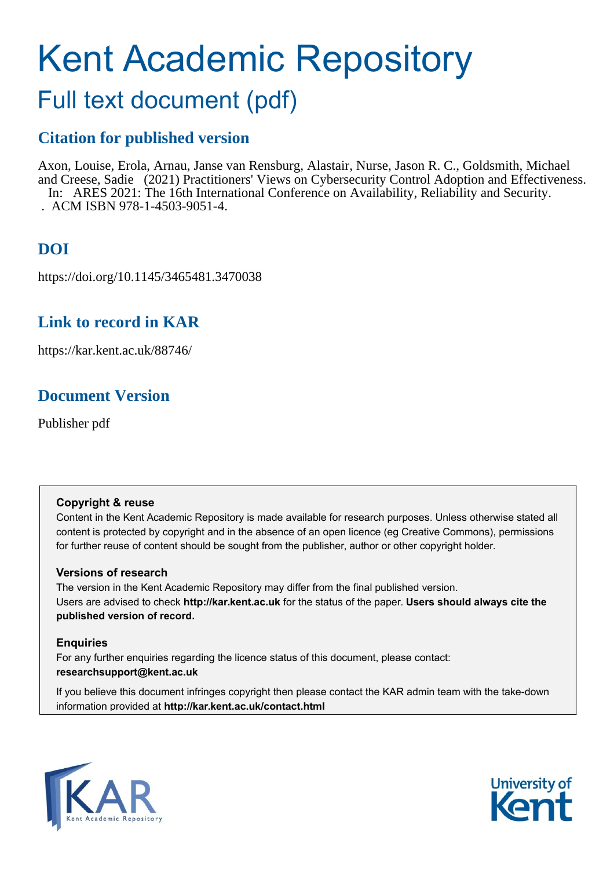# Kent Academic Repository

## Full text document (pdf)

## **Citation for published version**

Axon, Louise, Erola, Arnau, Janse van Rensburg, Alastair, Nurse, Jason R. C., Goldsmith, Michael and Creese, Sadie (2021) Practitioners' Views on Cybersecurity Control Adoption and Effectiveness. In: ARES 2021: The 16th International Conference on Availability, Reliability and Security. . ACM ISBN 978-1-4503-9051-4.

## **DOI**

https://doi.org/10.1145/3465481.3470038

## **Link to record in KAR**

https://kar.kent.ac.uk/88746/

## **Document Version**

Publisher pdf

#### **Copyright & reuse**

Content in the Kent Academic Repository is made available for research purposes. Unless otherwise stated all content is protected by copyright and in the absence of an open licence (eg Creative Commons), permissions for further reuse of content should be sought from the publisher, author or other copyright holder.

#### **Versions of research**

The version in the Kent Academic Repository may differ from the final published version. Users are advised to check **http://kar.kent.ac.uk** for the status of the paper. **Users should always cite the published version of record.**

#### **Enquiries**

For any further enquiries regarding the licence status of this document, please contact: **researchsupport@kent.ac.uk**

If you believe this document infringes copyright then please contact the KAR admin team with the take-down information provided at **http://kar.kent.ac.uk/contact.html**



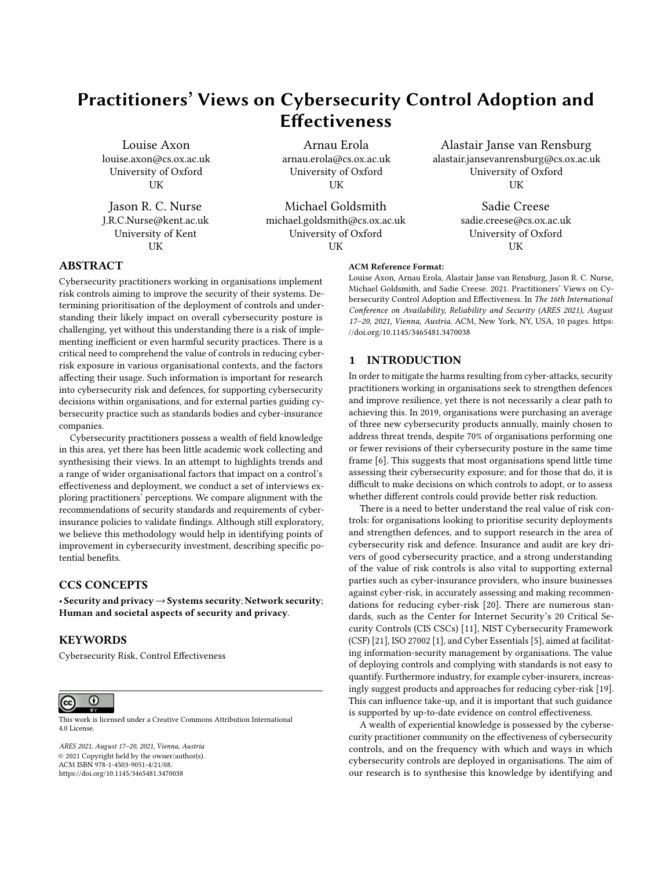### Practitioners' Views on Cybersecurity Control Adoption and **Effectiveness**

Louise Axon louise.axon@cs.ox.ac.uk University of Oxford UK

Jason R. C. Nurse J.R.C.Nurse@kent.ac.uk University of Kent UK

Arnau Erola arnau.erola@cs.ox.ac.uk University of Oxford **UK** 

Michael Goldsmith michael.goldsmith@cs.ox.ac.uk University of Oxford **I** IK

Alastair Janse van Rensburg alastair.jansevanrensburg@cs.ox.ac.uk University of Oxford UK

> Sadie Creese sadie.creese@cs.ox.ac.uk University of Oxford **I** IK

#### ABSTRACT

Cybersecurity practitioners working in organisations implement risk controls aiming to improve the security of their systems. Determining prioritisation of the deployment of controls and understanding their likely impact on overall cybersecurity posture is challenging, yet without this understanding there is a risk of implementing inefficient or even harmful security practices. There is a critical need to comprehend the value of controls in reducing cyberrisk exposure in various organisational contexts, and the factors affecting their usage. Such information is important for research into cybersecurity risk and defences, for supporting cybersecurity decisions within organisations, and for external parties guiding cybersecurity practice such as standards bodies and cyber-insurance companies.

Cybersecurity practitioners possess a wealth of field knowledge in this area, yet there has been little academic work collecting and synthesising their views. In an attempt to highlights trends and a range of wider organisational factors that impact on a control's effectiveness and deployment, we conduct a set of interviews exploring practitioners' perceptions. We compare alignment with the recommendations of security standards and requirements of cyberinsurance policies to validate findings. Although still exploratory, we believe this methodology would help in identifying points of improvement in cybersecurity investment, describing specific potential benefits.

#### CCS CONCEPTS

• Security and privacy→Systems security; Network security; Human and societal aspects of security and privacy.

#### **KEYWORDS**

Cybersecurity Risk, Control Effectiveness



This work is licensed under a [Creative Commons Attribution International](https://creativecommons.org/licenses/by/4.0/) [4.0 License.](https://creativecommons.org/licenses/by/4.0/)

ARES 2021, August 17–20, 2021, Vienna, Austria © 2021 Copyright held by the owner/author(s). ACM ISBN 978-1-4503-9051-4/21/08. <https://doi.org/10.1145/3465481.3470038>

#### ACM Reference Format:

Louise Axon, Arnau Erola, Alastair Janse van Rensburg, Jason R. C. Nurse, Michael Goldsmith, and Sadie Creese. 2021. Practitioners' Views on Cybersecurity Control Adoption and Effectiveness. In The 16th International Conference on Availability, Reliability and Security (ARES 2021), August 17–20, 2021, Vienna, Austria. ACM, New York, NY, USA, 10 pages. [https:](https://doi.org/10.1145/3465481.3470038) [//doi.org/10.1145/3465481.3470038](https://doi.org/10.1145/3465481.3470038)

#### 1 INTRODUCTION

In order to mitigate the harms resulting from cyber-attacks, security practitioners working in organisations seek to strengthen defences and improve resilience, yet there is not necessarily a clear path to achieving this. In 2019, organisations were purchasing an average of three new cybersecurity products annually, mainly chosen to address threat trends, despite 70% of organisations performing one or fewer revisions of their cybersecurity posture in the same time frame [6]. This suggests that most organisations spend little time assessing their cybersecurity exposure; and for those that do, it is difficult to make decisions on which controls to adopt, or to assess whether different controls could provide better risk reduction.

There is a need to better understand the real value of risk controls: for organisations looking to prioritise security deployments and strengthen defences, and to support research in the area of cybersecurity risk and defence. Insurance and audit are key drivers of good cybersecurity practice, and a strong understanding of the value of risk controls is also vital to supporting external parties such as cyber-insurance providers, who insure businesses against cyber-risk, in accurately assessing and making recommendations for reducing cyber-risk [20]. There are numerous standards, such as the Center for Internet Security's 20 Critical Security Controls (CIS CSCs) [11], NIST Cybersecurity Framework (CSF) [21], ISO 27002 [1], and Cyber Essentials [5], aimed at facilitating information-security management by organisations. The value of deploying controls and complying with standards is not easy to quantify. Furthermore industry, for example cyber-insurers, increasingly suggest products and approaches for reducing cyber-risk [19]. This can influence take-up, and it is important that such guidance is supported by up-to-date evidence on control effectiveness.

A wealth of experiential knowledge is possessed by the cybersecurity practitioner community on the effectiveness of cybersecurity controls, and on the frequency with which and ways in which cybersecurity controls are deployed in organisations. The aim of our research is to synthesise this knowledge by identifying and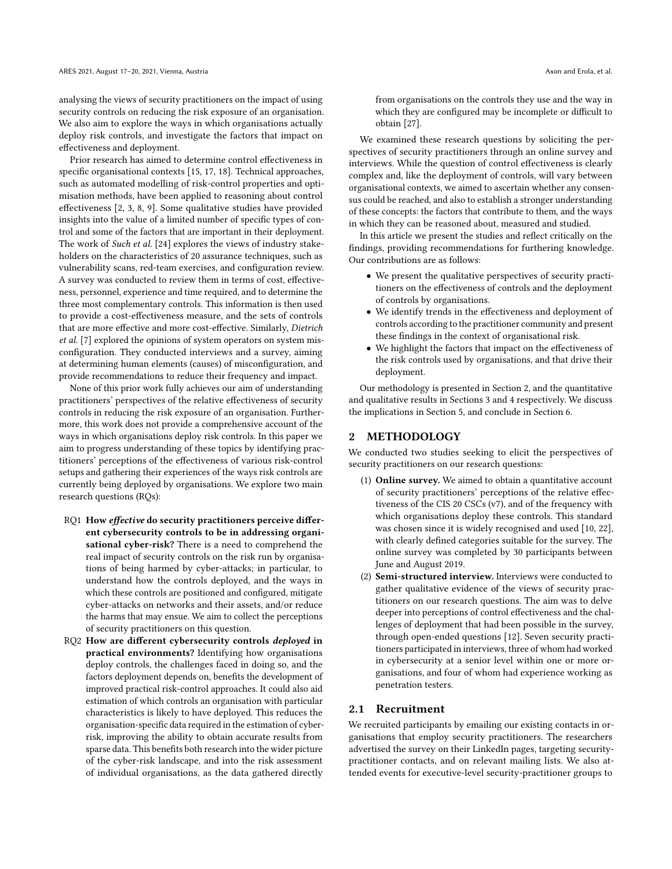analysing the views of security practitioners on the impact of using security controls on reducing the risk exposure of an organisation. We also aim to explore the ways in which organisations actually deploy risk controls, and investigate the factors that impact on effectiveness and deployment.

Prior research has aimed to determine control effectiveness in specific organisational contexts [15, 17, 18]. Technical approaches, such as automated modelling of risk-control properties and optimisation methods, have been applied to reasoning about control effectiveness [2, 3, 8, 9]. Some qualitative studies have provided insights into the value of a limited number of specific types of control and some of the factors that are important in their deployment. The work of Such et al. [24] explores the views of industry stakeholders on the characteristics of 20 assurance techniques, such as vulnerability scans, red-team exercises, and configuration review. A survey was conducted to review them in terms of cost, effectiveness, personnel, experience and time required, and to determine the three most complementary controls. This information is then used to provide a cost-effectiveness measure, and the sets of controls that are more effective and more cost-effective. Similarly, Dietrich et al. [7] explored the opinions of system operators on system misconfiguration. They conducted interviews and a survey, aiming at determining human elements (causes) of misconfiguration, and provide recommendations to reduce their frequency and impact.

None of this prior work fully achieves our aim of understanding practitioners' perspectives of the relative effectiveness of security controls in reducing the risk exposure of an organisation. Furthermore, this work does not provide a comprehensive account of the ways in which organisations deploy risk controls. In this paper we aim to progress understanding of these topics by identifying practitioners' perceptions of the effectiveness of various risk-control setups and gathering their experiences of the ways risk controls are currently being deployed by organisations. We explore two main research questions (RQs):

- RQ1 How effective do security practitioners perceive different cybersecurity controls to be in addressing organisational cyber-risk? There is a need to comprehend the real impact of security controls on the risk run by organisations of being harmed by cyber-attacks; in particular, to understand how the controls deployed, and the ways in which these controls are positioned and configured, mitigate cyber-attacks on networks and their assets, and/or reduce the harms that may ensue. We aim to collect the perceptions of security practitioners on this question.
- RQ2 How are different cybersecurity controls deployed in practical environments? Identifying how organisations deploy controls, the challenges faced in doing so, and the factors deployment depends on, benefits the development of improved practical risk-control approaches. It could also aid estimation of which controls an organisation with particular characteristics is likely to have deployed. This reduces the organisation-specific data required in the estimation of cyberrisk, improving the ability to obtain accurate results from sparse data. This benefits both research into the wider picture of the cyber-risk landscape, and into the risk assessment of individual organisations, as the data gathered directly

from organisations on the controls they use and the way in which they are configured may be incomplete or difficult to obtain [27].

We examined these research questions by soliciting the perspectives of security practitioners through an online survey and interviews. While the question of control effectiveness is clearly complex and, like the deployment of controls, will vary between organisational contexts, we aimed to ascertain whether any consensus could be reached, and also to establish a stronger understanding of these concepts: the factors that contribute to them, and the ways in which they can be reasoned about, measured and studied.

In this article we present the studies and reflect critically on the findings, providing recommendations for furthering knowledge. Our contributions are as follows:

- We present the qualitative perspectives of security practitioners on the effectiveness of controls and the deployment of controls by organisations.
- We identify trends in the effectiveness and deployment of controls according to the practitioner community and present these findings in the context of organisational risk.
- We highlight the factors that impact on the effectiveness of the risk controls used by organisations, and that drive their deployment.

Our methodology is presented in Section 2, and the quantitative and qualitative results in Sections 3 and 4 respectively. We discuss the implications in Section 5, and conclude in Section 6.

#### 2 METHODOLOGY

We conducted two studies seeking to elicit the perspectives of security practitioners on our research questions:

- (1) Online survey. We aimed to obtain a quantitative account of security practitioners' perceptions of the relative effectiveness of the CIS 20 CSCs (v7), and of the frequency with which organisations deploy these controls. This standard was chosen since it is widely recognised and used [10, 22], with clearly defined categories suitable for the survey. The online survey was completed by 30 participants between June and August 2019.
- (2) Semi-structured interview. Interviews were conducted to gather qualitative evidence of the views of security practitioners on our research questions. The aim was to delve deeper into perceptions of control effectiveness and the challenges of deployment that had been possible in the survey, through open-ended questions [12]. Seven security practitioners participated in interviews, three of whom had worked in cybersecurity at a senior level within one or more organisations, and four of whom had experience working as penetration testers.

#### 2.1 Recruitment

We recruited participants by emailing our existing contacts in organisations that employ security practitioners. The researchers advertised the survey on their LinkedIn pages, targeting securitypractitioner contacts, and on relevant mailing lists. We also attended events for executive-level security-practitioner groups to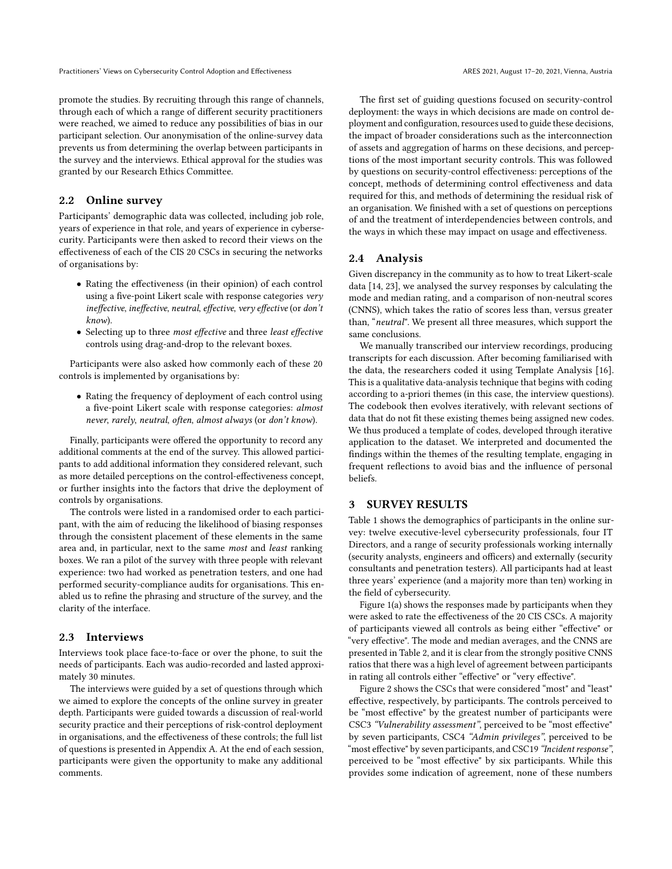promote the studies. By recruiting through this range of channels, through each of which a range of different security practitioners were reached, we aimed to reduce any possibilities of bias in our participant selection. Our anonymisation of the online-survey data prevents us from determining the overlap between participants in the survey and the interviews. Ethical approval for the studies was granted by our Research Ethics Committee.

#### 2.2 Online survey

Participants' demographic data was collected, including job role, years of experience in that role, and years of experience in cybersecurity. Participants were then asked to record their views on the effectiveness of each of the CIS 20 CSCs in securing the networks of organisations by:

- Rating the effectiveness (in their opinion) of each control using a five-point Likert scale with response categories very ineffective, ineffective, neutral, effective, very effective (or don't know).
- Selecting up to three most effective and three least effective controls using drag-and-drop to the relevant boxes.

Participants were also asked how commonly each of these 20 controls is implemented by organisations by:

• Rating the frequency of deployment of each control using a five-point Likert scale with response categories: almost never, rarely, neutral, often, almost always (or don't know).

Finally, participants were offered the opportunity to record any additional comments at the end of the survey. This allowed participants to add additional information they considered relevant, such as more detailed perceptions on the control-effectiveness concept, or further insights into the factors that drive the deployment of controls by organisations.

The controls were listed in a randomised order to each participant, with the aim of reducing the likelihood of biasing responses through the consistent placement of these elements in the same area and, in particular, next to the same most and least ranking boxes. We ran a pilot of the survey with three people with relevant experience: two had worked as penetration testers, and one had performed security-compliance audits for organisations. This enabled us to refine the phrasing and structure of the survey, and the clarity of the interface.

#### 2.3 Interviews

Interviews took place face-to-face or over the phone, to suit the needs of participants. Each was audio-recorded and lasted approximately 30 minutes.

The interviews were guided by a set of questions through which we aimed to explore the concepts of the online survey in greater depth. Participants were guided towards a discussion of real-world security practice and their perceptions of risk-control deployment in organisations, and the effectiveness of these controls; the full list of questions is presented in Appendix A. At the end of each session, participants were given the opportunity to make any additional comments.

The first set of guiding questions focused on security-control deployment: the ways in which decisions are made on control deployment and configuration, resources used to guide these decisions, the impact of broader considerations such as the interconnection of assets and aggregation of harms on these decisions, and perceptions of the most important security controls. This was followed by questions on security-control effectiveness: perceptions of the concept, methods of determining control effectiveness and data required for this, and methods of determining the residual risk of an organisation. We finished with a set of questions on perceptions of and the treatment of interdependencies between controls, and the ways in which these may impact on usage and effectiveness.

#### 2.4 Analysis

Given discrepancy in the community as to how to treat Likert-scale data [14, 23], we analysed the survey responses by calculating the mode and median rating, and a comparison of non-neutral scores (CNNS), which takes the ratio of scores less than, versus greater than, "neutral". We present all three measures, which support the same conclusions.

We manually transcribed our interview recordings, producing transcripts for each discussion. After becoming familiarised with the data, the researchers coded it using Template Analysis [16]. This is a qualitative data-analysis technique that begins with coding according to a-priori themes (in this case, the interview questions). The codebook then evolves iteratively, with relevant sections of data that do not fit these existing themes being assigned new codes. We thus produced a template of codes, developed through iterative application to the dataset. We interpreted and documented the findings within the themes of the resulting template, engaging in frequent reflections to avoid bias and the influence of personal beliefs.

#### 3 SURVEY RESULTS

Table 1 shows the demographics of participants in the online survey: twelve executive-level cybersecurity professionals, four IT Directors, and a range of security professionals working internally (security analysts, engineers and officers) and externally (security consultants and penetration testers). All participants had at least three years' experience (and a majority more than ten) working in the field of cybersecurity.

Figure 1(a) shows the responses made by participants when they were asked to rate the effectiveness of the 20 CIS CSCs. A majority of participants viewed all controls as being either "effective" or "very effective". The mode and median averages, and the CNNS are presented in Table 2, and it is clear from the strongly positive CNNS ratios that there was a high level of agreement between participants in rating all controls either "effective" or "very effective".

Figure 2 shows the CSCs that were considered "most" and "least" effective, respectively, by participants. The controls perceived to be "most effective" by the greatest number of participants were CSC3 "Vulnerability assessment", perceived to be "most effective" by seven participants, CSC4 "Admin privileges", perceived to be "most effective" by seven participants, and CSC19 "Incident response", perceived to be "most effective" by six participants. While this provides some indication of agreement, none of these numbers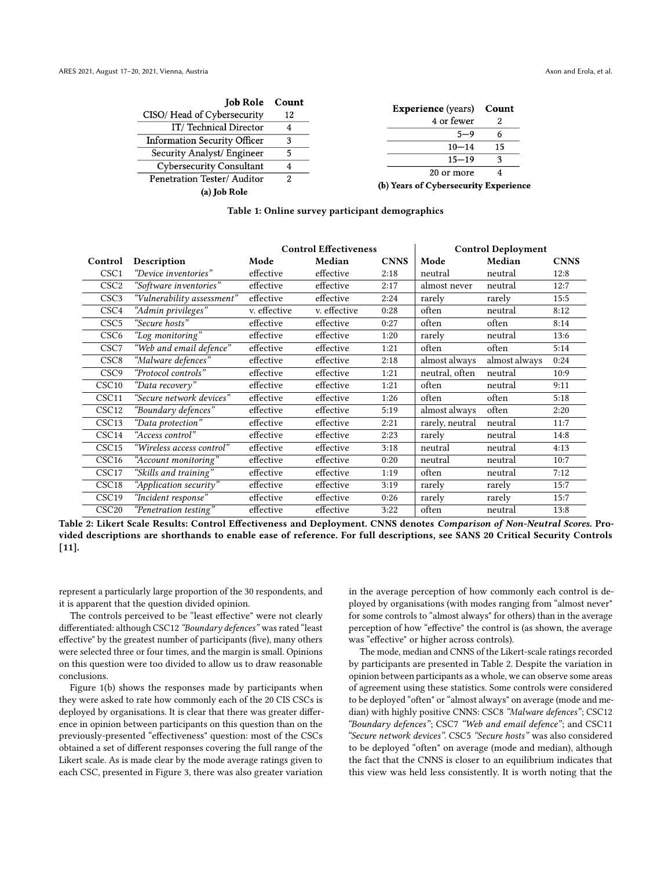| <b>Job Role</b> Count               |    |                                         |       |
|-------------------------------------|----|-----------------------------------------|-------|
| CISO/Head of Cybersecurity          | 12 | <b>Experience</b> (years)<br>4 or fewer | Count |
| IT/Technical Director               |    |                                         |       |
| <b>Information Security Officer</b> |    | $5 - 9$                                 | b     |
| Security Analyst/ Engineer          | 5  | $10 - 14$                               | 15    |
| <b>Cybersecurity Consultant</b>     | 4  | $15 - 19$                               | વ     |
| Penetration Tester/Auditor          | 2  | 20 or more                              |       |
| (a) Job Role                        |    | (b) Years of Cybersecurity Experience   |       |

|  |  | Table 1: Online survey participant demographics |
|--|--|-------------------------------------------------|
|--|--|-------------------------------------------------|

|                   |                            | <b>Control Effectiveness</b> |              |             | <b>Control Deployment</b> |               |             |
|-------------------|----------------------------|------------------------------|--------------|-------------|---------------------------|---------------|-------------|
| Control           | Description                | Mode                         | Median       | <b>CNNS</b> | Mode                      | Median        | <b>CNNS</b> |
| CSC <sub>1</sub>  | "Device inventories"       | effective                    | effective    | 2:18        | neutral                   | neutral       | 12:8        |
| CSC <sub>2</sub>  | "Software inventories"     | effective                    | effective    | 2:17        | almost never              | neutral       | 12:7        |
| CSC <sub>3</sub>  | "Vulnerability assessment" | effective                    | effective    | 2:24        | rarely                    | rarely        | 15:5        |
| CSC4              | "Admin privileges"         | v. effective                 | v. effective | 0:28        | often                     | neutral       | 8:12        |
| CSC <sub>5</sub>  | "Secure hosts"             | effective                    | effective    | 0:27        | often                     | often         | 8:14        |
| CSC6              | "Log monitoring"           | effective                    | effective    | 1:20        | rarely                    | neutral       | 13:6        |
| CSC7              | "Web and email defence"    | effective                    | effective    | 1:21        | often                     | often         | 5:14        |
| CSC <sub>8</sub>  | "Malware defences"         | effective                    | effective    | 2:18        | almost always             | almost always | 0:24        |
| CSC <sub>9</sub>  | "Protocol controls"        | effective                    | effective    | 1:21        | neutral, often            | neutral       | 10:9        |
| CSC <sub>10</sub> | "Data recovery"            | effective                    | effective    | 1:21        | often                     | neutral       | 9:11        |
| CSC11             | "Secure network devices"   | effective                    | effective    | 1:26        | often                     | often         | 5:18        |
| CSC <sub>12</sub> | "Boundary defences"        | effective                    | effective    | 5:19        | almost always             | often         | 2:20        |
| CSC13             | "Data protection"          | effective                    | effective    | 2:21        | rarely, neutral           | neutral       | 11:7        |
| CSC <sub>14</sub> | "Access control"           | effective                    | effective    | 2:23        | rarely                    | neutral       | 14:8        |
| CSC <sub>15</sub> | "Wireless access control"  | effective                    | effective    | 3:18        | neutral                   | neutral       | 4:13        |
| CSC <sub>16</sub> | "Account monitoring"       | effective                    | effective    | 0:20        | neutral                   | neutral       | 10:7        |
| CSC <sub>17</sub> | "Skills and training"      | effective                    | effective    | 1:19        | often                     | neutral       | 7:12        |
| CSC <sub>18</sub> | "Application security"     | effective                    | effective    | 3:19        | rarely                    | rarely        | 15:7        |
| CSC19             | "Incident response"        | effective                    | effective    | 0:26        | rarely                    | rarely        | 15:7        |
| CSC <sub>20</sub> | "Penetration testing"      | effective                    | effective    | 3:22        | often                     | neutral       | 13:8        |

Table 2: Likert Scale Results: Control Effectiveness and Deployment. CNNS denotes Comparison of Non-Neutral Scores. Provided descriptions are shorthands to enable ease of reference. For full descriptions, see SANS 20 Critical Security Controls [11].

represent a particularly large proportion of the 30 respondents, and it is apparent that the question divided opinion.

The controls perceived to be "least effective" were not clearly differentiated: although CSC12 "Boundary defences" was rated "least effective" by the greatest number of participants (five), many others were selected three or four times, and the margin is small. Opinions on this question were too divided to allow us to draw reasonable conclusions.

Figure 1(b) shows the responses made by participants when they were asked to rate how commonly each of the 20 CIS CSCs is deployed by organisations. It is clear that there was greater difference in opinion between participants on this question than on the previously-presented "effectiveness" question: most of the CSCs obtained a set of different responses covering the full range of the Likert scale. As is made clear by the mode average ratings given to each CSC, presented in Figure 3, there was also greater variation

in the average perception of how commonly each control is deployed by organisations (with modes ranging from "almost never" for some controls to "almost always" for others) than in the average perception of how "effective" the control is (as shown, the average was "effective" or higher across controls).

The mode, median and CNNS of the Likert-scale ratings recorded by participants are presented in Table 2. Despite the variation in opinion between participants as a whole, we can observe some areas of agreement using these statistics. Some controls were considered to be deployed "often" or "almost always" on average (mode and median) with highly positive CNNS: CSC8 "Malware defences"; CSC12 "Boundary defences"; CSC7 "Web and email defence"; and CSC11 "Secure network devices". CSC5 "Secure hosts" was also considered to be deployed "often" on average (mode and median), although the fact that the CNNS is closer to an equilibrium indicates that this view was held less consistently. It is worth noting that the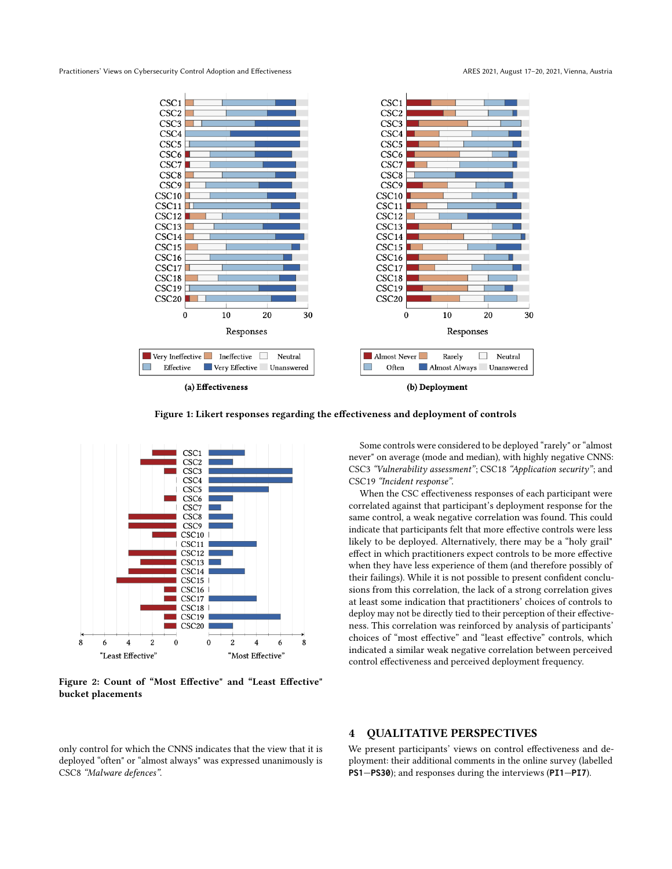Practitioners' Views on Cybersecurity Control Adoption and Effectiveness ARES 2021, August 17-20, 2021, Vienna, Austria



Figure 1: Likert responses regarding the effectiveness and deployment of controls



Figure 2: Count of "Most Effective" and "Least Effective" bucket placements

Some controls were considered to be deployed "rarely" or "almost never" on average (mode and median), with highly negative CNNS: CSC3 "Vulnerability assessment"; CSC18 "Application security"; and CSC19 "Incident response".

When the CSC effectiveness responses of each participant were correlated against that participant's deployment response for the same control, a weak negative correlation was found. This could indicate that participants felt that more effective controls were less likely to be deployed. Alternatively, there may be a "holy grail" effect in which practitioners expect controls to be more effective when they have less experience of them (and therefore possibly of their failings). While it is not possible to present confident conclusions from this correlation, the lack of a strong correlation gives at least some indication that practitioners' choices of controls to deploy may not be directly tied to their perception of their effectiveness. This correlation was reinforced by analysis of participants' choices of "most effective" and "least effective" controls, which indicated a similar weak negative correlation between perceived control effectiveness and perceived deployment frequency.

only control for which the CNNS indicates that the view that it is deployed "often" or "almost always" was expressed unanimously is CSC8 "Malware defences".

#### 4 QUALITATIVE PERSPECTIVES

We present participants' views on control effectiveness and deployment: their additional comments in the online survey (labelled **PS1**—**PS30**); and responses during the interviews (**PI1**—**PI7**).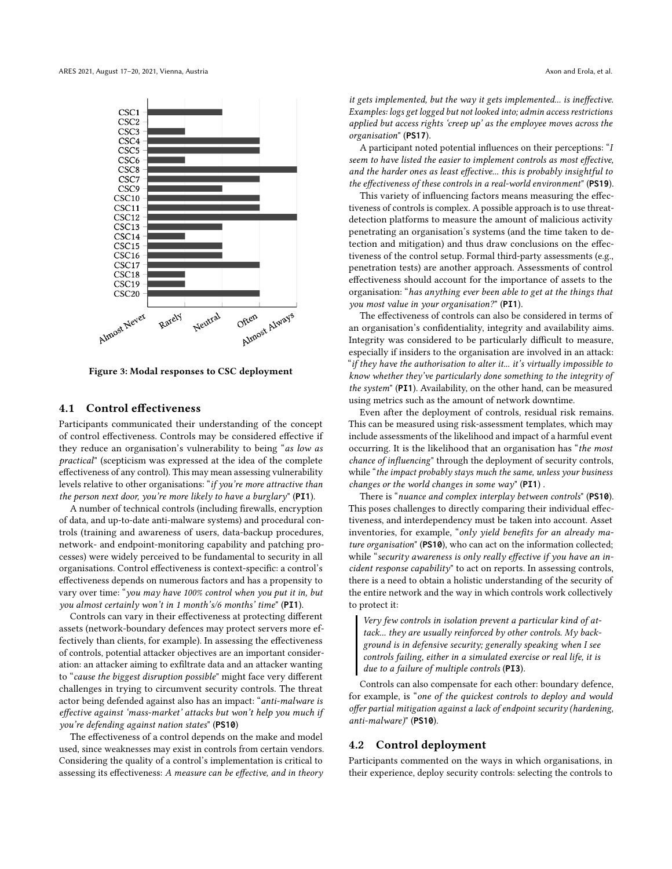

Figure 3: Modal responses to CSC deployment

#### 4.1 Control effectiveness

Participants communicated their understanding of the concept of control effectiveness. Controls may be considered effective if they reduce an organisation's vulnerability to being "as low as practical" (scepticism was expressed at the idea of the complete effectiveness of any control). This may mean assessing vulnerability levels relative to other organisations: "if you're more attractive than the person next door, you're more likely to have a burglary" (**PI1**).

A number of technical controls (including firewalls, encryption of data, and up-to-date anti-malware systems) and procedural controls (training and awareness of users, data-backup procedures, network- and endpoint-monitoring capability and patching processes) were widely perceived to be fundamental to security in all organisations. Control effectiveness is context-specific: a control's effectiveness depends on numerous factors and has a propensity to vary over time: "you may have 100% control when you put it in, but you almost certainly won't in 1 month's/6 months' time" (**PI1**).

Controls can vary in their effectiveness at protecting different assets (network-boundary defences may protect servers more effectively than clients, for example). In assessing the effectiveness of controls, potential attacker objectives are an important consideration: an attacker aiming to exfiltrate data and an attacker wanting to "cause the biggest disruption possible" might face very different challenges in trying to circumvent security controls. The threat actor being defended against also has an impact: "anti-malware is effective against 'mass-market' attacks but won't help you much if you're defending against nation states" (**PS10**)

The effectiveness of a control depends on the make and model used, since weaknesses may exist in controls from certain vendors. Considering the quality of a control's implementation is critical to assessing its effectiveness: A measure can be effective, and in theory

it gets implemented, but the way it gets implemented... is ineffective. Examples: logs get logged but not looked into; admin access restrictions applied but access rights 'creep up' as the employee moves across the organisation" (**PS17**).

A participant noted potential influences on their perceptions: "I seem to have listed the easier to implement controls as most effective, and the harder ones as least effective... this is probably insightful to the effectiveness of these controls in a real-world environment" (**PS19**).

This variety of influencing factors means measuring the effectiveness of controls is complex. A possible approach is to use threatdetection platforms to measure the amount of malicious activity penetrating an organisation's systems (and the time taken to detection and mitigation) and thus draw conclusions on the effectiveness of the control setup. Formal third-party assessments (e.g., penetration tests) are another approach. Assessments of control effectiveness should account for the importance of assets to the organisation: "has anything ever been able to get at the things that you most value in your organisation?" (**PI1**).

The effectiveness of controls can also be considered in terms of an organisation's confidentiality, integrity and availability aims. Integrity was considered to be particularly difficult to measure, especially if insiders to the organisation are involved in an attack: "if they have the authorisation to alter it... it's virtually impossible to know whether they've particularly done something to the integrity of the system" (**PI1**). Availability, on the other hand, can be measured using metrics such as the amount of network downtime.

Even after the deployment of controls, residual risk remains. This can be measured using risk-assessment templates, which may include assessments of the likelihood and impact of a harmful event occurring. It is the likelihood that an organisation has "the most chance of influencing" through the deployment of security controls, while "the impact probably stays much the same, unless your business changes or the world changes in some way" (**PI1**) .

There is "nuance and complex interplay between controls" (**PS10**). This poses challenges to directly comparing their individual effectiveness, and interdependency must be taken into account. Asset inventories, for example, "only yield benefits for an already mature organisation" (**PS10**), who can act on the information collected; while "security awareness is only really effective if you have an incident response capability" to act on reports. In assessing controls, there is a need to obtain a holistic understanding of the security of the entire network and the way in which controls work collectively to protect it:

Very few controls in isolation prevent a particular kind of attack... they are usually reinforced by other controls. My background is in defensive security; generally speaking when I see controls failing, either in a simulated exercise or real life, it is due to a failure of multiple controls (**PI3**).

Controls can also compensate for each other: boundary defence, for example, is "one of the quickest controls to deploy and would offer partial mitigation against a lack of endpoint security (hardening, anti-malware)" (**PS10**).

#### 4.2 Control deployment

Participants commented on the ways in which organisations, in their experience, deploy security controls: selecting the controls to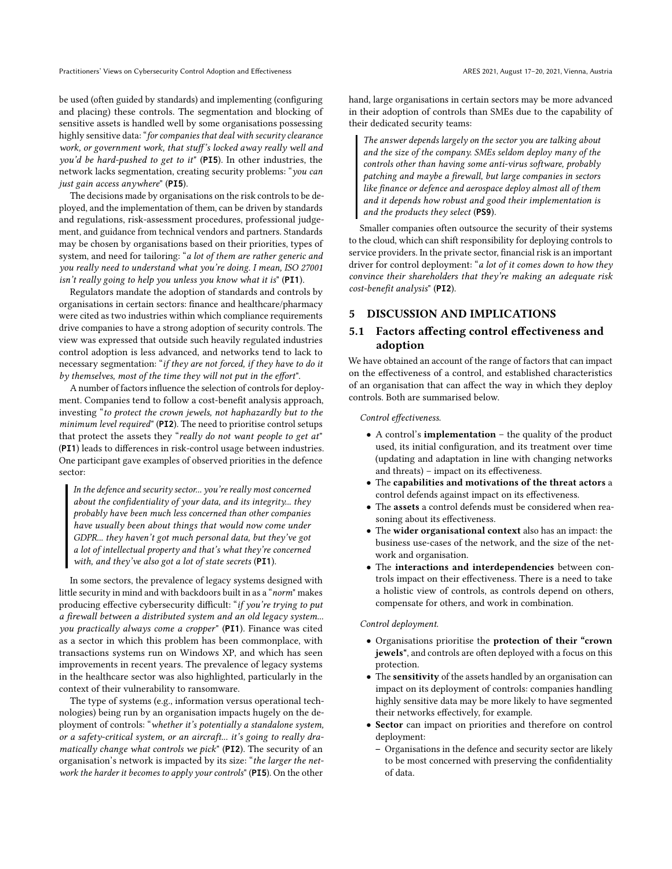Practitioners' Views on Cybersecurity Control Adoption and Effectiveness ARES 2021, August 17-20, 2021, Vienna, Austria

be used (often guided by standards) and implementing (configuring and placing) these controls. The segmentation and blocking of sensitive assets is handled well by some organisations possessing highly sensitive data: "for companies that deal with security clearance work, or government work, that stuff's locked away really well and you'd be hard-pushed to get to it" (**PI5**). In other industries, the network lacks segmentation, creating security problems: "you can just gain access anywhere" (**PI5**).

The decisions made by organisations on the risk controls to be deployed, and the implementation of them, can be driven by standards and regulations, risk-assessment procedures, professional judgement, and guidance from technical vendors and partners. Standards may be chosen by organisations based on their priorities, types of system, and need for tailoring: "a lot of them are rather generic and you really need to understand what you're doing. I mean, ISO 27001 isn't really going to help you unless you know what it is" (**PI1**).

Regulators mandate the adoption of standards and controls by organisations in certain sectors: finance and healthcare/pharmacy were cited as two industries within which compliance requirements drive companies to have a strong adoption of security controls. The view was expressed that outside such heavily regulated industries control adoption is less advanced, and networks tend to lack to necessary segmentation: "if they are not forced, if they have to do it by themselves, most of the time they will not put in the effort".

A number of factors influence the selection of controls for deployment. Companies tend to follow a cost-benefit analysis approach, investing "to protect the crown jewels, not haphazardly but to the minimum level required" (**PI2**). The need to prioritise control setups that protect the assets they "really do not want people to get at" (**PI1**) leads to differences in risk-control usage between industries. One participant gave examples of observed priorities in the defence sector:

In the defence and security sector... you're really most concerned about the confidentiality of your data, and its integrity... they probably have been much less concerned than other companies have usually been about things that would now come under GDPR... they haven't got much personal data, but they've got a lot of intellectual property and that's what they're concerned with, and they've also got a lot of state secrets (**PI1**).

In some sectors, the prevalence of legacy systems designed with little security in mind and with backdoors built in as a "norm" makes producing effective cybersecurity difficult: "if you're trying to put a firewall between a distributed system and an old legacy system... you practically always come a cropper" (**PI1**). Finance was cited as a sector in which this problem has been commonplace, with transactions systems run on Windows XP, and which has seen improvements in recent years. The prevalence of legacy systems in the healthcare sector was also highlighted, particularly in the context of their vulnerability to ransomware.

The type of systems (e.g., information versus operational technologies) being run by an organisation impacts hugely on the deployment of controls: "whether it's potentially a standalone system, or a safety-critical system, or an aircraft... it's going to really dramatically change what controls we pick" (**PI2**). The security of an organisation's network is impacted by its size: "the larger the network the harder it becomes to apply your controls" (**PI5**). On the other

hand, large organisations in certain sectors may be more advanced in their adoption of controls than SMEs due to the capability of their dedicated security teams:

The answer depends largely on the sector you are talking about and the size of the company. SMEs seldom deploy many of the controls other than having some anti-virus software, probably patching and maybe a firewall, but large companies in sectors like finance or defence and aerospace deploy almost all of them and it depends how robust and good their implementation is and the products they select (**PS9**).

Smaller companies often outsource the security of their systems to the cloud, which can shift responsibility for deploying controls to service providers. In the private sector, financial risk is an important driver for control deployment: "a lot of it comes down to how they convince their shareholders that they're making an adequate risk cost-benefit analysis" (**PI2**).

#### 5 DISCUSSION AND IMPLICATIONS

#### 5.1 Factors affecting control effectiveness and adoption

We have obtained an account of the range of factors that can impact on the effectiveness of a control, and established characteristics of an organisation that can affect the way in which they deploy controls. Both are summarised below.

Control effectiveness.

- A control's implementation the quality of the product used, its initial configuration, and its treatment over time (updating and adaptation in line with changing networks and threats) – impact on its effectiveness.
- The capabilities and motivations of the threat actors a control defends against impact on its effectiveness.
- The assets a control defends must be considered when reasoning about its effectiveness.
- The wider organisational context also has an impact: the business use-cases of the network, and the size of the network and organisation.
- The interactions and interdependencies between controls impact on their effectiveness. There is a need to take a holistic view of controls, as controls depend on others, compensate for others, and work in combination.

#### Control deployment.

- Organisations prioritise the protection of their "crown jewels", and controls are often deployed with a focus on this protection.
- The sensitivity of the assets handled by an organisation can impact on its deployment of controls: companies handling highly sensitive data may be more likely to have segmented their networks effectively, for example.
- Sector can impact on priorities and therefore on control deployment:
	- Organisations in the defence and security sector are likely to be most concerned with preserving the confidentiality of data.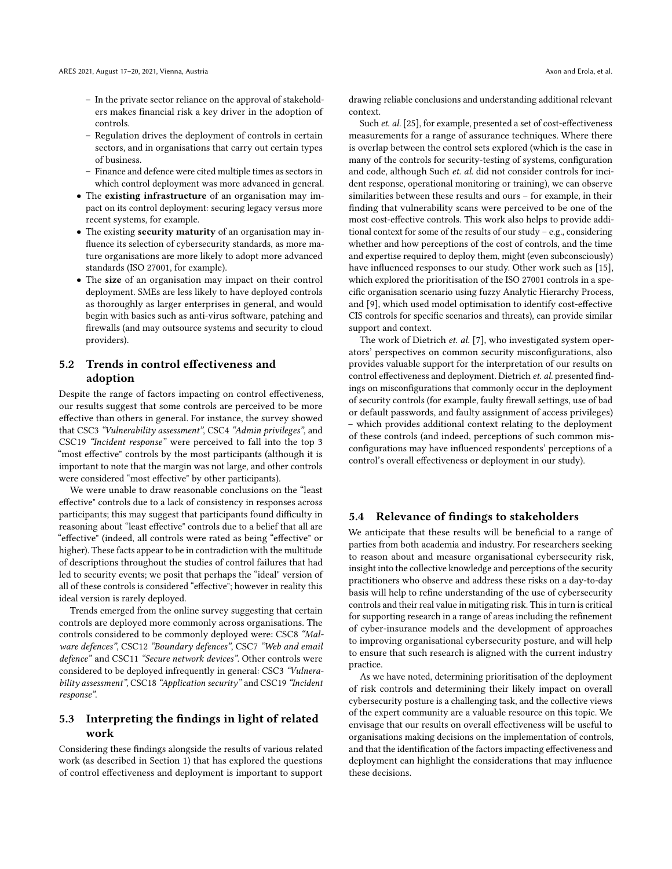- In the private sector reliance on the approval of stakeholders makes financial risk a key driver in the adoption of controls.
- Regulation drives the deployment of controls in certain sectors, and in organisations that carry out certain types of business.
- Finance and defence were cited multiple times as sectors in which control deployment was more advanced in general.
- The existing infrastructure of an organisation may impact on its control deployment: securing legacy versus more recent systems, for example.
- The existing security maturity of an organisation may influence its selection of cybersecurity standards, as more mature organisations are more likely to adopt more advanced standards (ISO 27001, for example).
- The size of an organisation may impact on their control deployment. SMEs are less likely to have deployed controls as thoroughly as larger enterprises in general, and would begin with basics such as anti-virus software, patching and firewalls (and may outsource systems and security to cloud providers).

#### 5.2 Trends in control effectiveness and adoption

Despite the range of factors impacting on control effectiveness, our results suggest that some controls are perceived to be more effective than others in general. For instance, the survey showed that CSC3 "Vulnerability assessment", CSC4 "Admin privileges", and CSC19 "Incident response" were perceived to fall into the top 3 "most effective" controls by the most participants (although it is important to note that the margin was not large, and other controls were considered "most effective" by other participants).

We were unable to draw reasonable conclusions on the "least effective" controls due to a lack of consistency in responses across participants; this may suggest that participants found difficulty in reasoning about "least effective" controls due to a belief that all are "effective" (indeed, all controls were rated as being "effective" or higher). These facts appear to be in contradiction with the multitude of descriptions throughout the studies of control failures that had led to security events; we posit that perhaps the "ideal" version of all of these controls is considered "effective"; however in reality this ideal version is rarely deployed.

Trends emerged from the online survey suggesting that certain controls are deployed more commonly across organisations. The controls considered to be commonly deployed were: CSC8 "Malware defences", CSC12 "Boundary defences", CSC7 "Web and email defence" and CSC11 "Secure network devices". Other controls were considered to be deployed infrequently in general: CSC3 "Vulnerability assessment", CSC18 "Application security" and CSC19 "Incident response".

#### 5.3 Interpreting the findings in light of related work

Considering these findings alongside the results of various related work (as described in Section 1) that has explored the questions of control effectiveness and deployment is important to support drawing reliable conclusions and understanding additional relevant context.

Such *et. al.* [25], for example, presented a set of cost-effectiveness measurements for a range of assurance techniques. Where there is overlap between the control sets explored (which is the case in many of the controls for security-testing of systems, configuration and code, although Such et. al. did not consider controls for incident response, operational monitoring or training), we can observe similarities between these results and ours – for example, in their finding that vulnerability scans were perceived to be one of the most cost-effective controls. This work also helps to provide additional context for some of the results of our study – e.g., considering whether and how perceptions of the cost of controls, and the time and expertise required to deploy them, might (even subconsciously) have influenced responses to our study. Other work such as [15], which explored the prioritisation of the ISO 27001 controls in a specific organisation scenario using fuzzy Analytic Hierarchy Process, and [9], which used model optimisation to identify cost-effective CIS controls for specific scenarios and threats), can provide similar support and context.

The work of Dietrich et. al. [7], who investigated system operators' perspectives on common security misconfigurations, also provides valuable support for the interpretation of our results on control effectiveness and deployment. Dietrich et. al. presented findings on misconfigurations that commonly occur in the deployment of security controls (for example, faulty firewall settings, use of bad or default passwords, and faulty assignment of access privileges) – which provides additional context relating to the deployment of these controls (and indeed, perceptions of such common misconfigurations may have influenced respondents' perceptions of a control's overall effectiveness or deployment in our study).

#### 5.4 Relevance of findings to stakeholders

We anticipate that these results will be beneficial to a range of parties from both academia and industry. For researchers seeking to reason about and measure organisational cybersecurity risk, insight into the collective knowledge and perceptions of the security practitioners who observe and address these risks on a day-to-day basis will help to refine understanding of the use of cybersecurity controls and their real value in mitigating risk. This in turn is critical for supporting research in a range of areas including the refinement of cyber-insurance models and the development of approaches to improving organisational cybersecurity posture, and will help to ensure that such research is aligned with the current industry practice.

As we have noted, determining prioritisation of the deployment of risk controls and determining their likely impact on overall cybersecurity posture is a challenging task, and the collective views of the expert community are a valuable resource on this topic. We envisage that our results on overall effectiveness will be useful to organisations making decisions on the implementation of controls, and that the identification of the factors impacting effectiveness and deployment can highlight the considerations that may influence these decisions.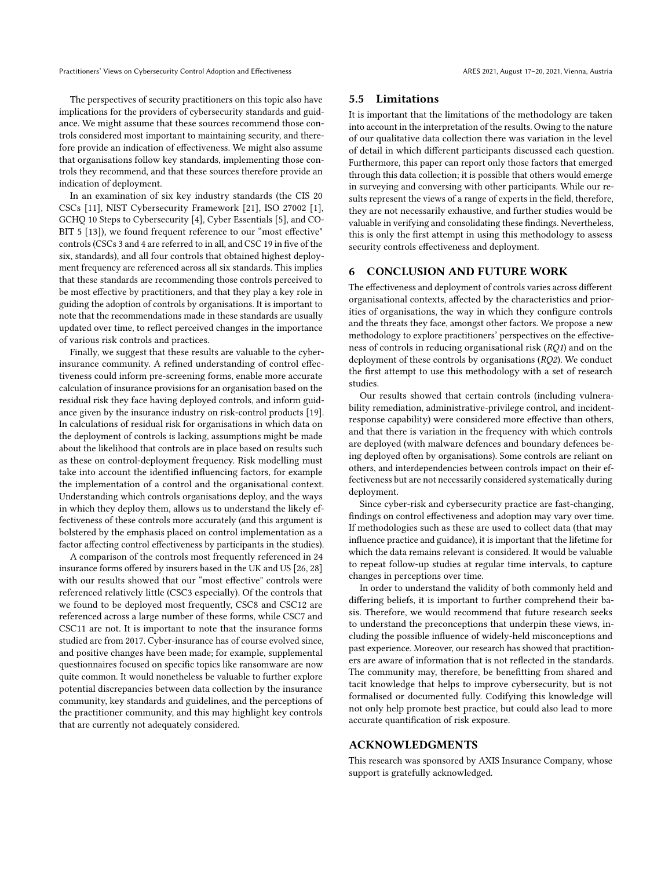Practitioners' Views on Cybersecurity Control Adoption and Effectiveness ARES 2021, August 17-20, 2021, Vienna, Austria

The perspectives of security practitioners on this topic also have implications for the providers of cybersecurity standards and guidance. We might assume that these sources recommend those controls considered most important to maintaining security, and therefore provide an indication of effectiveness. We might also assume that organisations follow key standards, implementing those controls they recommend, and that these sources therefore provide an indication of deployment.

In an examination of six key industry standards (the CIS 20 CSCs [11], NIST Cybersecurity Framework [21], ISO 27002 [1], GCHQ 10 Steps to Cybersecurity [4], Cyber Essentials [5], and CO-BIT 5 [13]), we found frequent reference to our "most effective" controls (CSCs 3 and 4 are referred to in all, and CSC 19 in five of the six, standards), and all four controls that obtained highest deployment frequency are referenced across all six standards. This implies that these standards are recommending those controls perceived to be most effective by practitioners, and that they play a key role in guiding the adoption of controls by organisations. It is important to note that the recommendations made in these standards are usually updated over time, to reflect perceived changes in the importance of various risk controls and practices.

Finally, we suggest that these results are valuable to the cyberinsurance community. A refined understanding of control effectiveness could inform pre-screening forms, enable more accurate calculation of insurance provisions for an organisation based on the residual risk they face having deployed controls, and inform guidance given by the insurance industry on risk-control products [19]. In calculations of residual risk for organisations in which data on the deployment of controls is lacking, assumptions might be made about the likelihood that controls are in place based on results such as these on control-deployment frequency. Risk modelling must take into account the identified influencing factors, for example the implementation of a control and the organisational context. Understanding which controls organisations deploy, and the ways in which they deploy them, allows us to understand the likely effectiveness of these controls more accurately (and this argument is bolstered by the emphasis placed on control implementation as a factor affecting control effectiveness by participants in the studies).

A comparison of the controls most frequently referenced in 24 insurance forms offered by insurers based in the UK and US [26, 28] with our results showed that our "most effective" controls were referenced relatively little (CSC3 especially). Of the controls that we found to be deployed most frequently, CSC8 and CSC12 are referenced across a large number of these forms, while CSC7 and CSC11 are not. It is important to note that the insurance forms studied are from 2017. Cyber-insurance has of course evolved since, and positive changes have been made; for example, supplemental questionnaires focused on specific topics like ransomware are now quite common. It would nonetheless be valuable to further explore potential discrepancies between data collection by the insurance community, key standards and guidelines, and the perceptions of the practitioner community, and this may highlight key controls that are currently not adequately considered.

#### 5.5 Limitations

It is important that the limitations of the methodology are taken into account in the interpretation of the results. Owing to the nature of our qualitative data collection there was variation in the level of detail in which different participants discussed each question. Furthermore, this paper can report only those factors that emerged through this data collection; it is possible that others would emerge in surveying and conversing with other participants. While our results represent the views of a range of experts in the field, therefore, they are not necessarily exhaustive, and further studies would be valuable in verifying and consolidating these findings. Nevertheless, this is only the first attempt in using this methodology to assess security controls effectiveness and deployment.

#### 6 CONCLUSION AND FUTURE WORK

The effectiveness and deployment of controls varies across different organisational contexts, affected by the characteristics and priorities of organisations, the way in which they configure controls and the threats they face, amongst other factors. We propose a new methodology to explore practitioners' perspectives on the effectiveness of controls in reducing organisational risk (RQ1) and on the deployment of these controls by organisations (RQ2). We conduct the first attempt to use this methodology with a set of research studies.

Our results showed that certain controls (including vulnerability remediation, administrative-privilege control, and incidentresponse capability) were considered more effective than others, and that there is variation in the frequency with which controls are deployed (with malware defences and boundary defences being deployed often by organisations). Some controls are reliant on others, and interdependencies between controls impact on their effectiveness but are not necessarily considered systematically during deployment.

Since cyber-risk and cybersecurity practice are fast-changing, findings on control effectiveness and adoption may vary over time. If methodologies such as these are used to collect data (that may influence practice and guidance), it is important that the lifetime for which the data remains relevant is considered. It would be valuable to repeat follow-up studies at regular time intervals, to capture changes in perceptions over time.

In order to understand the validity of both commonly held and differing beliefs, it is important to further comprehend their basis. Therefore, we would recommend that future research seeks to understand the preconceptions that underpin these views, including the possible influence of widely-held misconceptions and past experience. Moreover, our research has showed that practitioners are aware of information that is not reflected in the standards. The community may, therefore, be benefitting from shared and tacit knowledge that helps to improve cybersecurity, but is not formalised or documented fully. Codifying this knowledge will not only help promote best practice, but could also lead to more accurate quantification of risk exposure.

#### ACKNOWLEDGMENTS

This research was sponsored by AXIS Insurance Company, whose support is gratefully acknowledged.